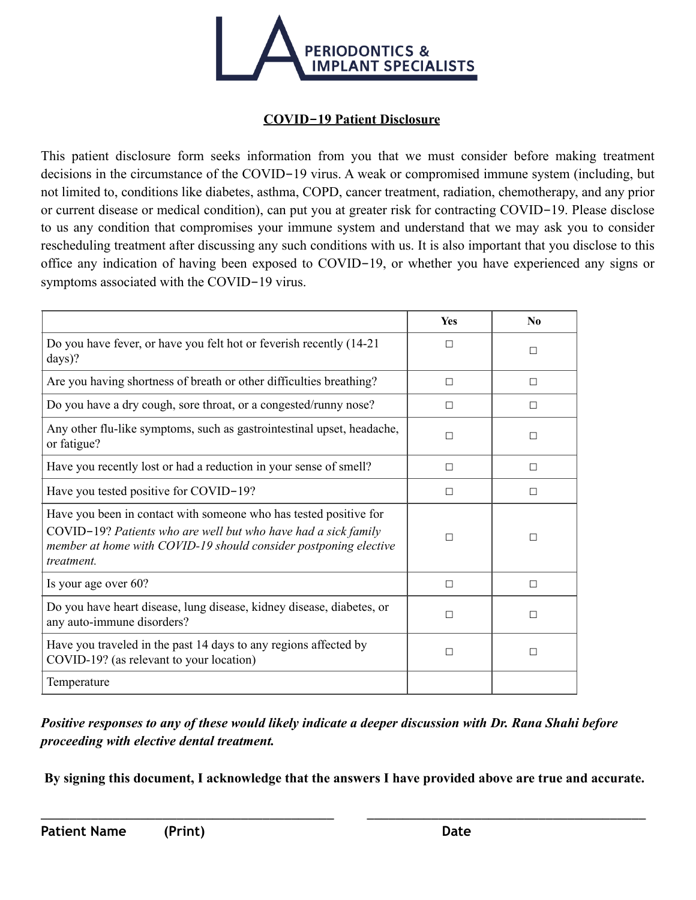

## **COVID-19 Patient Disclosure**

This patient disclosure form seeks information from you that we must consider before making treatment decisions in the circumstance of the COVID-19 virus. A weak or compromised immune system (including, but not limited to, conditions like diabetes, asthma, COPD, cancer treatment, radiation, chemotherapy, and any prior or current disease or medical condition), can put you at greater risk for contracting COVID-19. Please disclose to us any condition that compromises your immune system and understand that we may ask you to consider rescheduling treatment after discussing any such conditions with us. It is also important that you disclose to this office any indication of having been exposed to COVID-19, or whether you have experienced any signs or symptoms associated with the COVID-19 virus.

|                                                                                                                                                                                                                       | <b>Yes</b> | $\bf No$ |
|-----------------------------------------------------------------------------------------------------------------------------------------------------------------------------------------------------------------------|------------|----------|
| Do you have fever, or have you felt hot or feverish recently (14-21)<br>$\frac{days}{?}$                                                                                                                              | $\Box$     | $\Box$   |
| Are you having shortness of breath or other difficulties breathing?                                                                                                                                                   | $\Box$     | $\Box$   |
| Do you have a dry cough, sore throat, or a congested/runny nose?                                                                                                                                                      | $\Box$     | $\Box$   |
| Any other flu-like symptoms, such as gastrointestinal upset, headache,<br>or fatigue?                                                                                                                                 | $\Box$     | П        |
| Have you recently lost or had a reduction in your sense of smell?                                                                                                                                                     | $\Box$     | $\Box$   |
| Have you tested positive for COVID-19?                                                                                                                                                                                | $\Box$     | $\Box$   |
| Have you been in contact with someone who has tested positive for<br>COVID-19? Patients who are well but who have had a sick family<br>member at home with COVID-19 should consider postponing elective<br>treatment. | П          | $\Box$   |
| Is your age over 60?                                                                                                                                                                                                  | $\Box$     | $\Box$   |
| Do you have heart disease, lung disease, kidney disease, diabetes, or<br>any auto-immune disorders?                                                                                                                   | $\Box$     | П        |
| Have you traveled in the past 14 days to any regions affected by<br>COVID-19? (as relevant to your location)                                                                                                          | П          | П        |
| Temperature                                                                                                                                                                                                           |            |          |

*Positive responses to any of these would likely indicate a deeper discussion with Dr. Rana Shahi before proceeding with elective dental treatment.* 

**By signing this document, I acknowledge that the answers I have provided above are true and accurate.** 

\_\_\_\_\_\_\_\_\_\_\_\_\_\_\_\_\_\_\_\_\_\_\_\_\_\_\_\_\_\_\_\_\_\_\_\_\_\_\_\_\_ \_\_\_\_\_\_\_\_\_\_\_\_\_\_\_\_\_\_\_\_\_\_\_\_\_\_\_\_\_\_\_\_\_\_\_\_\_\_\_